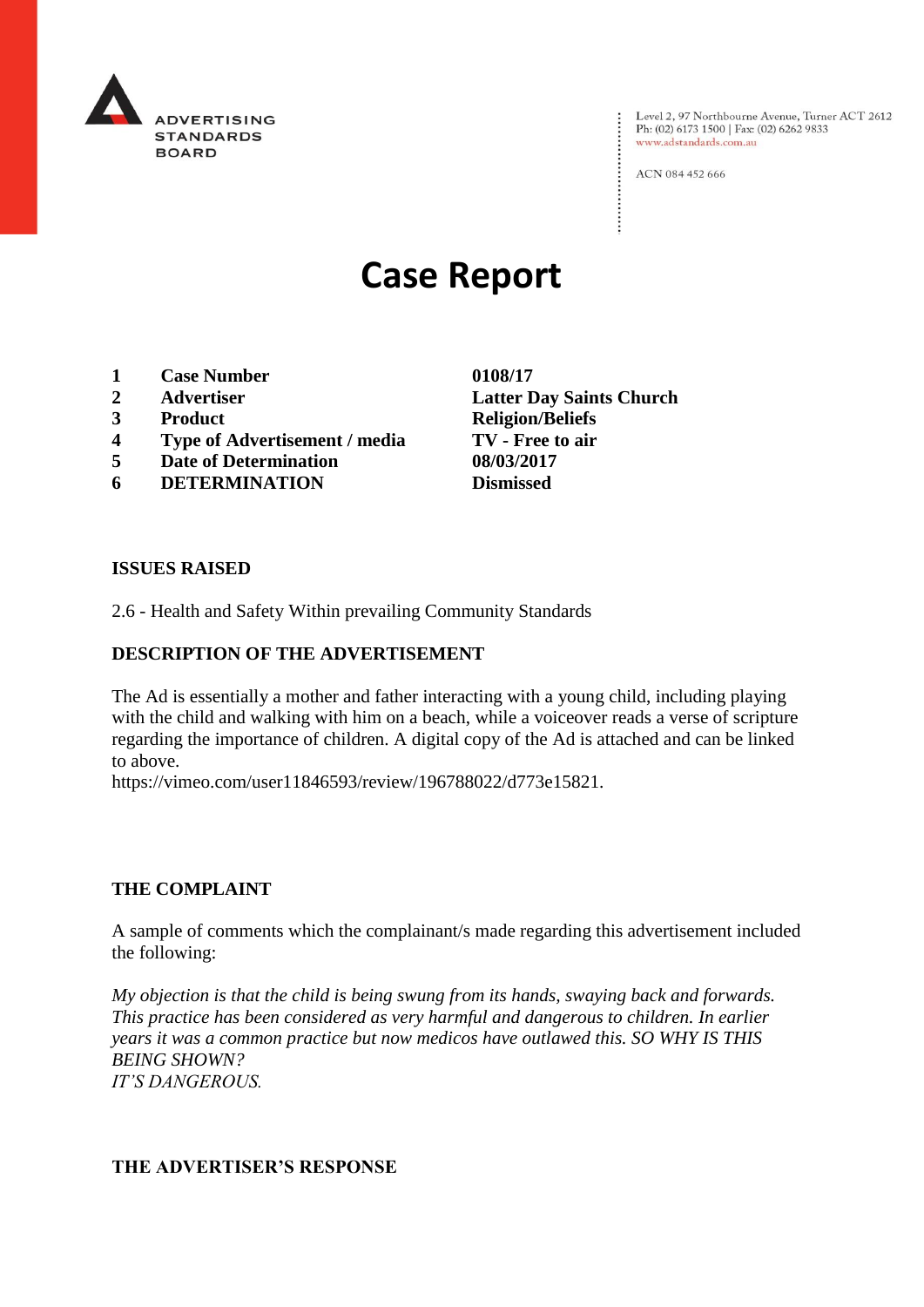

Level 2, 97 Northbourne Avenue, Turner ACT 2612<br>Ph: (02) 6173 1500 | Fax: (02) 6262 9833 www.adstandards.com.au

ACN 084 452 666

# **Case Report**

- **1 Case Number 0108/17**
- 
- 
- **4 Type of Advertisement / media TV - Free to air**
- **5 Date of Determination 08/03/2017**
- **6 DETERMINATION Dismissed**

**2 Advertiser Latter Day Saints Church 3 Product Religion/Beliefs**

#### **ISSUES RAISED**

2.6 - Health and Safety Within prevailing Community Standards

## **DESCRIPTION OF THE ADVERTISEMENT**

The Ad is essentially a mother and father interacting with a young child, including playing with the child and walking with him on a beach, while a voiceover reads a verse of scripture regarding the importance of children. A digital copy of the Ad is attached and can be linked to above.

https://vimeo.com/user11846593/review/196788022/d773e15821.

## **THE COMPLAINT**

A sample of comments which the complainant/s made regarding this advertisement included the following:

*My objection is that the child is being swung from its hands, swaying back and forwards. This practice has been considered as very harmful and dangerous to children. In earlier years it was a common practice but now medicos have outlawed this. SO WHY IS THIS BEING SHOWN? IT'S DANGEROUS.*

# **THE ADVERTISER'S RESPONSE**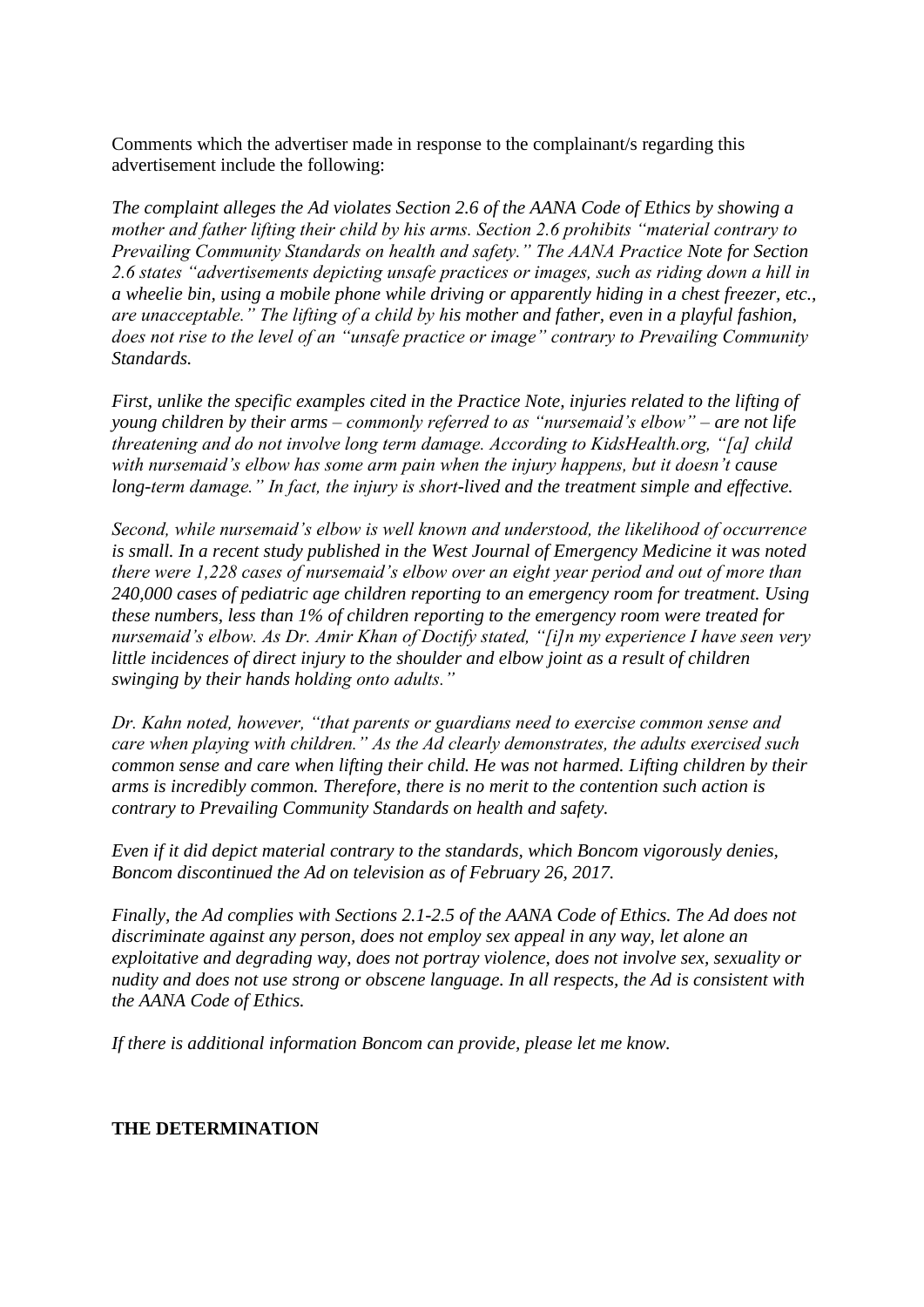Comments which the advertiser made in response to the complainant/s regarding this advertisement include the following:

*The complaint alleges the Ad violates Section 2.6 of the AANA Code of Ethics by showing a mother and father lifting their child by his arms. Section 2.6 prohibits "material contrary to Prevailing Community Standards on health and safety." The AANA Practice Note for Section 2.6 states "advertisements depicting unsafe practices or images, such as riding down a hill in a wheelie bin, using a mobile phone while driving or apparently hiding in a chest freezer, etc., are unacceptable." The lifting of a child by his mother and father, even in a playful fashion, does not rise to the level of an "unsafe practice or image" contrary to Prevailing Community Standards.*

*First, unlike the specific examples cited in the Practice Note, injuries related to the lifting of young children by their arms – commonly referred to as "nursemaid's elbow" – are not life threatening and do not involve long term damage. According to KidsHealth.org, "[a] child with nursemaid's elbow has some arm pain when the injury happens, but it doesn't cause long-term damage." In fact, the injury is short-lived and the treatment simple and effective.*

*Second, while nursemaid's elbow is well known and understood, the likelihood of occurrence is small. In a recent study published in the West Journal of Emergency Medicine it was noted there were 1,228 cases of nursemaid's elbow over an eight year period and out of more than 240,000 cases of pediatric age children reporting to an emergency room for treatment. Using these numbers, less than 1% of children reporting to the emergency room were treated for nursemaid's elbow. As Dr. Amir Khan of Doctify stated, "[i]n my experience I have seen very little incidences of direct injury to the shoulder and elbow joint as a result of children swinging by their hands holding onto adults."*

*Dr. Kahn noted, however, "that parents or guardians need to exercise common sense and care when playing with children." As the Ad clearly demonstrates, the adults exercised such common sense and care when lifting their child. He was not harmed. Lifting children by their arms is incredibly common. Therefore, there is no merit to the contention such action is contrary to Prevailing Community Standards on health and safety.*

*Even if it did depict material contrary to the standards, which Boncom vigorously denies, Boncom discontinued the Ad on television as of February 26, 2017.*

*Finally, the Ad complies with Sections 2.1-2.5 of the AANA Code of Ethics. The Ad does not discriminate against any person, does not employ sex appeal in any way, let alone an exploitative and degrading way, does not portray violence, does not involve sex, sexuality or nudity and does not use strong or obscene language. In all respects, the Ad is consistent with the AANA Code of Ethics.*

*If there is additional information Boncom can provide, please let me know.*

#### **THE DETERMINATION**